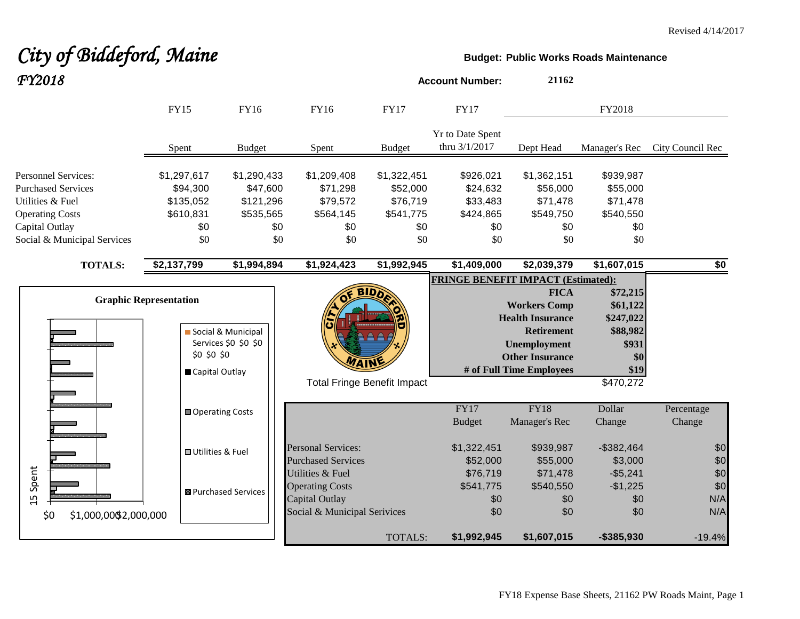# **City of Biddeford, Maine Budget: Budget:** Public Works Roads Maintenance *FY2018* **Account Number: <sup>21162</sup>**

|                                                                                                                                                        | <b>FY15</b>                                                     | <b>FY16</b>                                                     | FY16                                                                    | <b>FY17</b>                                                    | <b>FY17</b>                                                  |                                                                                                                                                                 | FY2018                                                                             |                          |
|--------------------------------------------------------------------------------------------------------------------------------------------------------|-----------------------------------------------------------------|-----------------------------------------------------------------|-------------------------------------------------------------------------|----------------------------------------------------------------|--------------------------------------------------------------|-----------------------------------------------------------------------------------------------------------------------------------------------------------------|------------------------------------------------------------------------------------|--------------------------|
|                                                                                                                                                        | Spent                                                           | <b>Budget</b>                                                   | Spent                                                                   | <b>Budget</b>                                                  | <b>Yr to Date Spent</b><br>thru 3/1/2017                     | Dept Head                                                                                                                                                       | Manager's Rec                                                                      | City Council Rec         |
| <b>Personnel Services:</b><br><b>Purchased Services</b><br>Utilities & Fuel<br><b>Operating Costs</b><br>Capital Outlay<br>Social & Municipal Services | \$1,297,617<br>\$94,300<br>\$135,052<br>\$610,831<br>\$0<br>\$0 | \$1,290,433<br>\$47,600<br>\$121,296<br>\$535,565<br>\$0<br>\$0 | \$1,209,408<br>\$71,298<br>\$79,572<br>\$564,145<br>\$0<br>\$0          | \$1,322,451<br>\$52,000<br>\$76,719<br>\$541,775<br>\$0<br>\$0 | \$926,021<br>\$24,632<br>\$33,483<br>\$424,865<br>\$0<br>\$0 | \$1,362,151<br>\$56,000<br>\$71,478<br>\$549,750<br>\$0<br>\$0                                                                                                  | \$939,987<br>\$55,000<br>\$71,478<br>\$540,550<br>\$0<br>\$0                       |                          |
| <b>TOTALS:</b>                                                                                                                                         | \$2,137,799                                                     | \$1,994,894                                                     | \$1,924,423                                                             | \$1,992,945                                                    | \$1,409,000                                                  | \$2,039,379                                                                                                                                                     | \$1,607,015                                                                        | \$0                      |
|                                                                                                                                                        | <b>Graphic Representation</b><br>\$0 \$0 \$0<br>Capital Outlay  | Social & Municipal<br>Services \$0 \$0 \$0                      |                                                                         | <b>BIDD</b><br><b>Total Fringe Benefit Impact</b>              | <b>FRINGE BENEFIT IMPACT (Estimated):</b>                    | <b>FICA</b><br><b>Workers Comp</b><br><b>Health Insurance</b><br><b>Retirement</b><br><b>Unemployment</b><br><b>Other Insurance</b><br># of Full Time Employees | \$72,215<br>\$61,122<br>\$247,022<br>\$88,982<br>\$931<br>\$0<br>\$19<br>\$470,272 |                          |
|                                                                                                                                                        | <b>□</b> Operating Costs                                        |                                                                 |                                                                         |                                                                | FY17<br><b>Budget</b>                                        | <b>FY18</b><br>Manager's Rec                                                                                                                                    | Dollar<br>Change                                                                   | Percentage<br>Change     |
|                                                                                                                                                        | <b>□</b> Utilities & Fuel                                       |                                                                 | <b>Personal Services:</b><br><b>Purchased Services</b>                  |                                                                | \$1,322,451<br>\$52,000                                      | \$939,987<br>\$55,000                                                                                                                                           | $-$ \$382,464<br>\$3,000                                                           | \$0<br>\$0               |
| 15 Spent                                                                                                                                               |                                                                 | <b>B</b> Purchased Services                                     | <b>Utilities &amp; Fuel</b><br><b>Operating Costs</b><br>Capital Outlay |                                                                | \$76,719<br>\$541,775<br>\$0                                 | \$71,478<br>\$540,550<br>\$0                                                                                                                                    | $-$5,241$<br>$-$1,225$<br>\$0                                                      | \$0<br>\$0<br>N/A<br>N/A |
| \$0<br>\$1,000,00\$2,000,000                                                                                                                           |                                                                 |                                                                 | Social & Municipal Serivices                                            | TOTALS:                                                        | \$0<br>\$1,992,945                                           | \$0<br>\$1,607,015                                                                                                                                              | \$0<br>$-$385,930$                                                                 | $-19.4%$                 |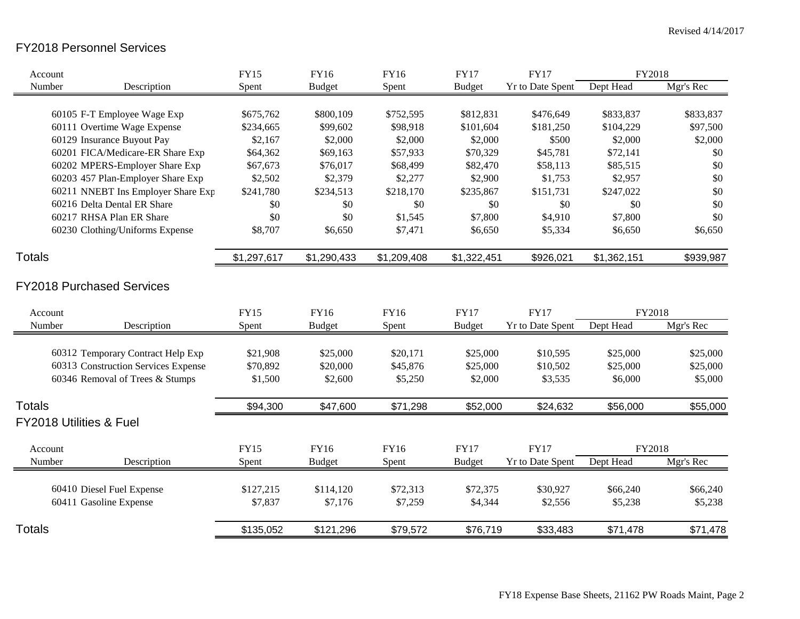### FY2018 Personnel Services

| Account                             | <b>FY15</b> | <b>FY16</b>   | <b>FY16</b> | <b>FY17</b>   | <b>FY17</b>             | FY2018      |           |
|-------------------------------------|-------------|---------------|-------------|---------------|-------------------------|-------------|-----------|
| Number<br>Description               | Spent       | <b>Budget</b> | Spent       | <b>Budget</b> | <b>Yr to Date Spent</b> | Dept Head   | Mgr's Rec |
|                                     |             |               |             |               |                         |             |           |
| 60105 F-T Employee Wage Exp         | \$675,762   | \$800,109     | \$752,595   | \$812,831     | \$476,649               | \$833,837   | \$833,837 |
| 60111 Overtime Wage Expense         | \$234,665   | \$99,602      | \$98,918    | \$101,604     | \$181,250               | \$104,229   | \$97,500  |
| 60129 Insurance Buyout Pay          | \$2,167     | \$2,000       | \$2,000     | \$2,000       | \$500                   | \$2,000     | \$2,000   |
| 60201 FICA/Medicare-ER Share Exp    | \$64,362    | \$69,163      | \$57,933    | \$70,329      | \$45,781                | \$72,141    | \$0       |
| 60202 MPERS-Employer Share Exp      | \$67,673    | \$76,017      | \$68,499    | \$82,470      | \$58,113                | \$85,515    | \$0       |
| 60203 457 Plan-Employer Share Exp   | \$2,502     | \$2,379       | \$2,277     | \$2,900       | \$1,753                 | \$2,957     | \$0       |
| 60211 NNEBT Ins Employer Share Exp  | \$241,780   | \$234,513     | \$218,170   | \$235,867     | \$151,731               | \$247,022   | \$0       |
| 60216 Delta Dental ER Share         | \$0         | \$0           | \$0         | \$0           | \$0                     | \$0         | \$0       |
| 60217 RHSA Plan ER Share            | \$0         | \$0           | \$1,545     | \$7,800       | \$4,910                 | \$7,800     | \$0       |
| 60230 Clothing/Uniforms Expense     | \$8,707     | \$6,650       | \$7,471     | \$6,650       | \$5,334                 | \$6,650     | \$6,650   |
| <b>Totals</b>                       | \$1,297,617 | \$1,290,433   | \$1,209,408 | \$1,322,451   | \$926,021               | \$1,362,151 | \$939,987 |
|                                     |             |               |             |               |                         |             |           |
| <b>FY2018 Purchased Services</b>    |             |               |             |               |                         |             |           |
| Account                             | <b>FY15</b> | FY16          | FY16        | <b>FY17</b>   | <b>FY17</b>             | FY2018      |           |
| Number<br>Description               | Spent       | <b>Budget</b> | Spent       | <b>Budget</b> | Yr to Date Spent        | Dept Head   | Mgr's Rec |
|                                     |             |               |             |               |                         |             |           |
| 60312 Temporary Contract Help Exp   | \$21,908    | \$25,000      | \$20,171    | \$25,000      | \$10,595                | \$25,000    | \$25,000  |
| 60313 Construction Services Expense | \$70,892    | \$20,000      | \$45,876    | \$25,000      | \$10,502                | \$25,000    | \$25,000  |
| 60346 Removal of Trees & Stumps     | \$1,500     | \$2,600       | \$5,250     | \$2,000       | \$3,535                 | \$6,000     | \$5,000   |
| <b>Totals</b>                       | \$94,300    | \$47,600      | \$71,298    | \$52,000      | \$24,632                | \$56,000    | \$55,000  |
| <b>FY2018 Utilities &amp; Fuel</b>  |             |               |             |               |                         |             |           |
| Account                             | <b>FY15</b> | FY16          | FY16        | <b>FY17</b>   | <b>FY17</b>             | FY2018      |           |
| Number<br>Description               | Spent       | <b>Budget</b> | Spent       | <b>Budget</b> | <b>Yr to Date Spent</b> | Dept Head   | Mgr's Rec |
|                                     |             |               |             |               |                         |             |           |
| 60410 Diesel Fuel Expense           | \$127,215   | \$114,120     | \$72,313    | \$72,375      | \$30,927                | \$66,240    | \$66,240  |
| 60411 Gasoline Expense              | \$7,837     | \$7,176       | \$7,259     | \$4,344       | \$2,556                 | \$5,238     | \$5,238   |
|                                     |             |               |             |               |                         |             |           |
| <b>Totals</b>                       | \$135,052   | \$121,296     | \$79,572    | \$76,719      | \$33,483                | \$71,478    | \$71,478  |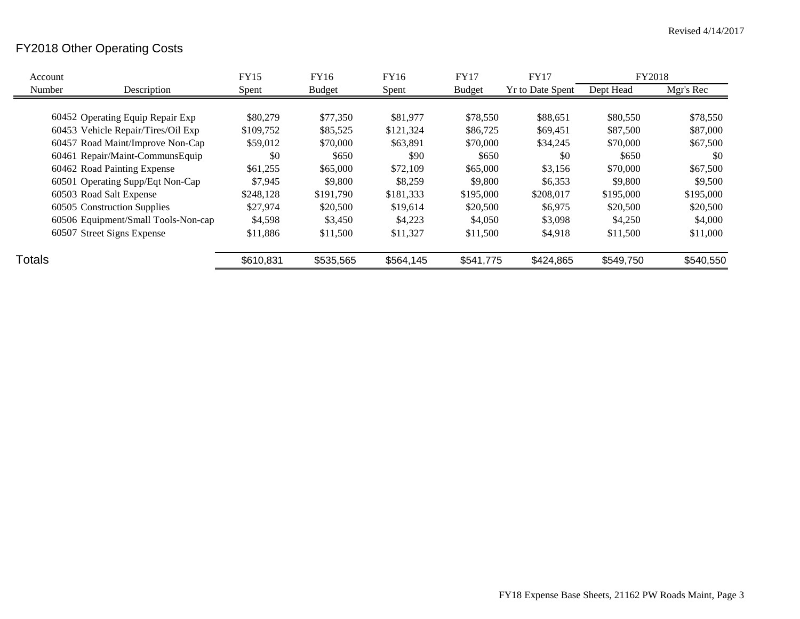## FY2018 Other Operating Costs

| Account       |                                     | <b>FY15</b> | FY16          | FY16      | FY17          | <b>FY17</b>             | FY2018    |           |
|---------------|-------------------------------------|-------------|---------------|-----------|---------------|-------------------------|-----------|-----------|
| Number        | Description                         | Spent       | <b>Budget</b> | Spent     | <b>Budget</b> | <b>Yr to Date Spent</b> | Dept Head | Mgr's Rec |
|               |                                     |             |               |           |               |                         |           |           |
|               | 60452 Operating Equip Repair Exp    | \$80,279    | \$77,350      | \$81,977  | \$78,550      | \$88,651                | \$80,550  | \$78,550  |
|               | 60453 Vehicle Repair/Tires/Oil Exp  | \$109,752   | \$85,525      | \$121,324 | \$86,725      | \$69,451                | \$87,500  | \$87,000  |
|               | 60457 Road Maint/Improve Non-Cap    | \$59,012    | \$70,000      | \$63,891  | \$70,000      | \$34,245                | \$70,000  | \$67,500  |
|               | 60461 Repair/Maint-CommunsEquip     | \$0         | \$650         | \$90      | \$650         | \$0                     | \$650     | \$0       |
|               | 60462 Road Painting Expense         | \$61,255    | \$65,000      | \$72,109  | \$65,000      | \$3,156                 | \$70,000  | \$67,500  |
|               | 60501 Operating Supp/Eqt Non-Cap    | \$7,945     | \$9,800       | \$8,259   | \$9,800       | \$6,353                 | \$9,800   | \$9,500   |
|               | 60503 Road Salt Expense             | \$248.128   | \$191,790     | \$181,333 | \$195,000     | \$208,017               | \$195,000 | \$195,000 |
|               | 60505 Construction Supplies         | \$27,974    | \$20,500      | \$19,614  | \$20,500      | \$6,975                 | \$20,500  | \$20,500  |
|               | 60506 Equipment/Small Tools-Non-cap | \$4,598     | \$3,450       | \$4,223   | \$4,050       | \$3,098                 | \$4,250   | \$4,000   |
|               | 60507 Street Signs Expense          | \$11,886    | \$11,500      | \$11,327  | \$11,500      | \$4,918                 | \$11,500  | \$11,000  |
| <b>Totals</b> |                                     | \$610,831   | \$535,565     | \$564,145 | \$541,775     | \$424,865               | \$549,750 | \$540,550 |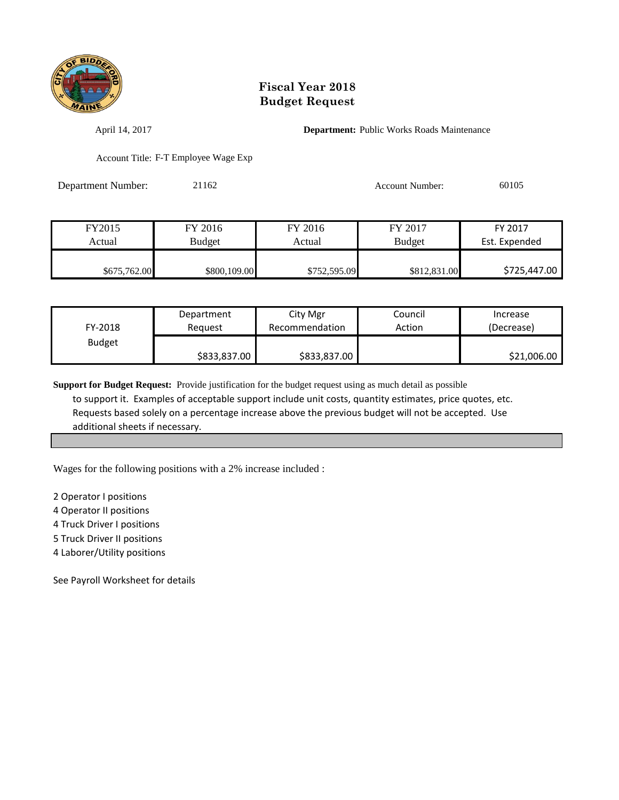

April 14, 2017 **Department:** Public Works Roads Maintenance

Account Title: F-T Employee Wage Exp

Department Number: 21162 Account Number: 60105

| FY2015       | FY 2016       | FY 2016      | FY 2017       | FY 2017       |
|--------------|---------------|--------------|---------------|---------------|
| Actual       | <b>Budget</b> | Actual       | <b>Budget</b> | Est. Expended |
|              |               |              |               |               |
| \$675,762.00 | \$800,109.00  | \$752,595.09 | \$812,831.00  | \$725,447.00  |

| FY-2018       | Department   | City Mgr       | Council | Increase    |
|---------------|--------------|----------------|---------|-------------|
|               | Reauest      | Recommendation | Action  | (Decrease)  |
| <b>Budget</b> | \$833,837.00 | \$833,837.00   |         | \$21,006.00 |

**Support for Budget Request:** Provide justification for the budget request using as much detail as possible to support it. Examples of acceptable support include unit costs, quantity estimates, price quotes, etc. Requests based solely on a percentage increase above the previous budget will not be accepted. Use additional sheets if necessary.

Wages for the following positions with a 2% increase included :

2 Operator I positions

4 Operator II positions

4 Truck Driver I positions

5 Truck Driver II positions

4 Laborer/Utility positions

See Payroll Worksheet for details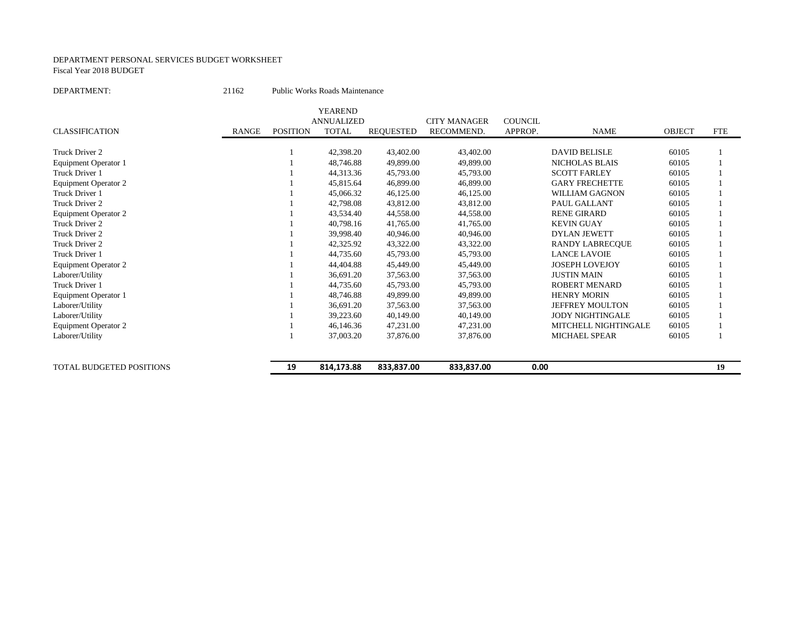#### DEPARTMENT PERSONAL SERVICES BUDGET WORKSHEET Fiscal Year 2018 BUDGET

```
DEPARTMENT: 21162 Public Works Roads Maintenance
```

|                             |              |                 | <b>YEAREND</b>    |                  |                     |                |                         |               |            |
|-----------------------------|--------------|-----------------|-------------------|------------------|---------------------|----------------|-------------------------|---------------|------------|
|                             |              |                 | <b>ANNUALIZED</b> |                  | <b>CITY MANAGER</b> | <b>COUNCIL</b> |                         |               |            |
| <b>CLASSIFICATION</b>       | <b>RANGE</b> | <b>POSITION</b> | <b>TOTAL</b>      | <b>REQUESTED</b> | RECOMMEND.          | APPROP.        | <b>NAME</b>             | <b>OBJECT</b> | <b>FTE</b> |
| Truck Driver 2              |              |                 | 42,398.20         | 43,402.00        | 43,402.00           |                | <b>DAVID BELISLE</b>    | 60105         |            |
| Equipment Operator 1        |              |                 | 48,746.88         | 49,899.00        | 49,899.00           |                | <b>NICHOLAS BLAIS</b>   | 60105         |            |
| Truck Driver 1              |              |                 | 44,313.36         | 45,793.00        | 45,793.00           |                | <b>SCOTT FARLEY</b>     | 60105         |            |
| <b>Equipment Operator 2</b> |              |                 | 45,815.64         | 46,899.00        | 46,899.00           |                | <b>GARY FRECHETTE</b>   | 60105         |            |
| Truck Driver 1              |              |                 | 45,066.32         | 46,125.00        | 46,125.00           |                | <b>WILLIAM GAGNON</b>   | 60105         |            |
| Truck Driver 2              |              |                 | 42,798.08         | 43,812.00        | 43,812.00           |                | PAUL GALLANT            | 60105         |            |
| <b>Equipment Operator 2</b> |              |                 | 43,534.40         | 44,558.00        | 44,558.00           |                | <b>RENE GIRARD</b>      | 60105         |            |
| Truck Driver 2              |              |                 | 40,798.16         | 41,765.00        | 41,765.00           |                | <b>KEVIN GUAY</b>       | 60105         |            |
| Truck Driver 2              |              |                 | 39,998.40         | 40,946.00        | 40,946.00           |                | <b>DYLAN JEWETT</b>     | 60105         |            |
| Truck Driver 2              |              |                 | 42,325.92         | 43,322.00        | 43,322.00           |                | <b>RANDY LABRECOUE</b>  | 60105         |            |
| Truck Driver 1              |              |                 | 44,735.60         | 45,793.00        | 45,793.00           |                | <b>LANCE LAVOIE</b>     | 60105         |            |
| Equipment Operator 2        |              |                 | 44,404.88         | 45,449.00        | 45,449.00           |                | <b>JOSEPH LOVEJOY</b>   | 60105         |            |
| Laborer/Utility             |              |                 | 36,691.20         | 37,563.00        | 37,563.00           |                | <b>JUSTIN MAIN</b>      | 60105         |            |
| Truck Driver 1              |              |                 | 44,735.60         | 45,793.00        | 45,793.00           |                | <b>ROBERT MENARD</b>    | 60105         |            |
| Equipment Operator 1        |              |                 | 48,746.88         | 49,899.00        | 49,899.00           |                | <b>HENRY MORIN</b>      | 60105         |            |
| Laborer/Utility             |              |                 | 36.691.20         | 37,563.00        | 37,563.00           |                | JEFFREY MOULTON         | 60105         |            |
| Laborer/Utility             |              |                 | 39,223.60         | 40,149.00        | 40,149.00           |                | <b>JODY NIGHTINGALE</b> | 60105         |            |
| <b>Equipment Operator 2</b> |              |                 | 46,146.36         | 47,231.00        | 47,231.00           |                | MITCHELL NIGHTINGALE    | 60105         |            |
| Laborer/Utility             |              |                 | 37,003.20         | 37,876.00        | 37,876.00           |                | <b>MICHAEL SPEAR</b>    | 60105         |            |
| TOTAL BUDGETED POSITIONS    |              | 19              | 814,173.88        | 833,837.00       | 833,837.00          | 0.00           |                         |               | 19         |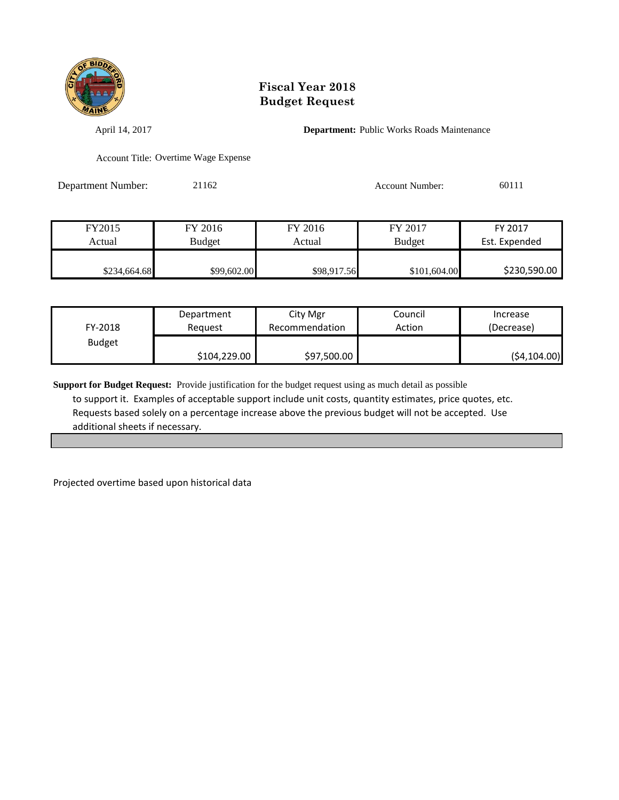

April 14, 2017 **Department:** Public Works Roads Maintenance

Account Title: Overtime Wage Expense

Department Number: 21162 Account Number: 60111

| FY2015       | FY 2016       | FY 2016     | FY 2017       | FY 2017       |
|--------------|---------------|-------------|---------------|---------------|
| Actual       | <b>Budget</b> | Actual      | <b>Budget</b> | Est. Expended |
|              |               |             |               |               |
| \$234,664.68 | \$99,602.00   | \$98,917.56 | \$101,604.00  | \$230,590.00  |

| FY-2018       | Department   | City Mgr       | Council | Increase     |
|---------------|--------------|----------------|---------|--------------|
|               | Reauest      | Recommendation | Action  | (Decrease)   |
| <b>Budget</b> | \$104,229.00 | \$97,500.00    |         | (54, 104.00) |

**Support for Budget Request:** Provide justification for the budget request using as much detail as possible to support it. Examples of acceptable support include unit costs, quantity estimates, price quotes, etc. Requests based solely on a percentage increase above the previous budget will not be accepted. Use additional sheets if necessary.

Projected overtime based upon historical data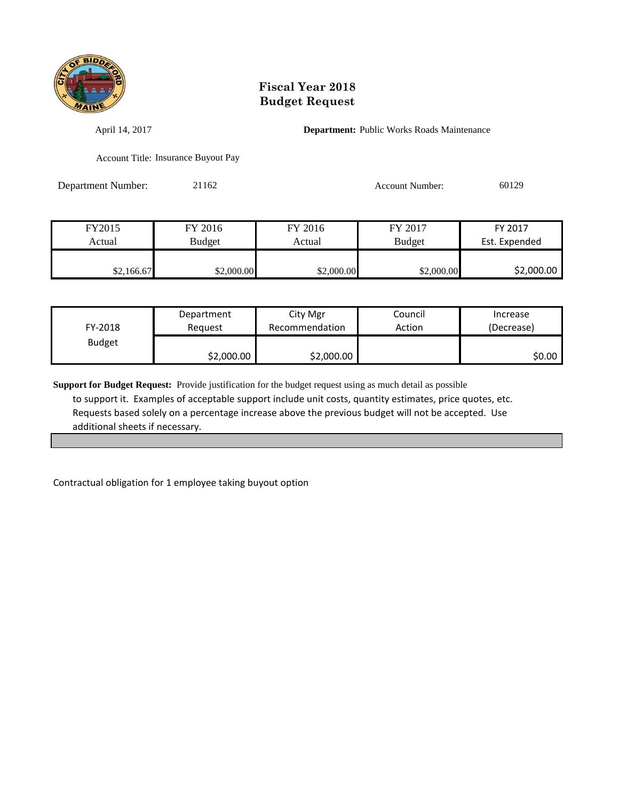

April 14, 2017 **Department:** Public Works Roads Maintenance

Account Title: Insurance Buyout Pay

Department Number: 21162 Account Number: 60129

| FY2015     | FY 2016    | FY 2016    | FY 2017       | FY 2017       |
|------------|------------|------------|---------------|---------------|
| Actual     | Budget     | Actual     | <b>Budget</b> | Est. Expended |
|            |            |            |               |               |
| \$2,166.67 | \$2,000.00 | \$2,000.00 | \$2,000.00    | \$2,000.00    |

| FY-2018       | Department | City Mgr       | Council | Increase   |
|---------------|------------|----------------|---------|------------|
|               | Reguest    | Recommendation | Action  | (Decrease) |
| <b>Budget</b> | \$2,000.00 | \$2,000.00     |         | \$0.00     |

**Support for Budget Request:** Provide justification for the budget request using as much detail as possible to support it. Examples of acceptable support include unit costs, quantity estimates, price quotes, etc. Requests based solely on a percentage increase above the previous budget will not be accepted. Use additional sheets if necessary.

Contractual obligation for 1 employee taking buyout option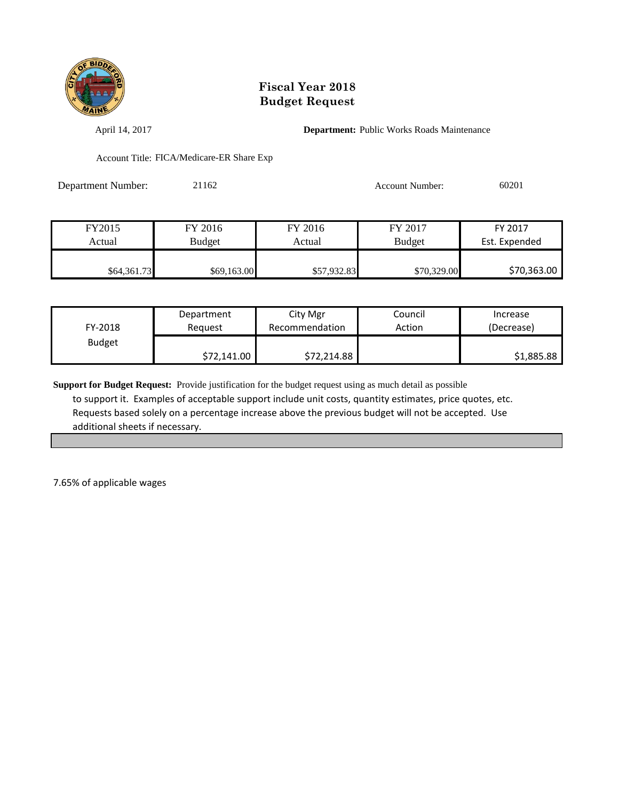

April 14, 2017 **Department:** Public Works Roads Maintenance

Account Title: FICA/Medicare-ER Share Exp

Department Number: 21162 Account Number: 60201

| FY2015      | FY 2016       | FY 2016     | FY 2017       | FY 2017       |
|-------------|---------------|-------------|---------------|---------------|
| Actual      | <b>Budget</b> | Actual      | <b>Budget</b> | Est. Expended |
|             |               |             |               |               |
| \$64,361.73 | \$69,163.00   | \$57,932.83 | \$70,329.00   | \$70,363.00   |

| FY-2018       | Department  | City Mgr       | Council | Increase   |
|---------------|-------------|----------------|---------|------------|
|               | Reauest     | Recommendation | Action  | (Decrease) |
| <b>Budget</b> | \$72,141.00 | \$72,214.88    |         | \$1,885.88 |

**Support for Budget Request:** Provide justification for the budget request using as much detail as possible to support it. Examples of acceptable support include unit costs, quantity estimates, price quotes, etc. Requests based solely on a percentage increase above the previous budget will not be accepted. Use additional sheets if necessary.

7.65% of applicable wages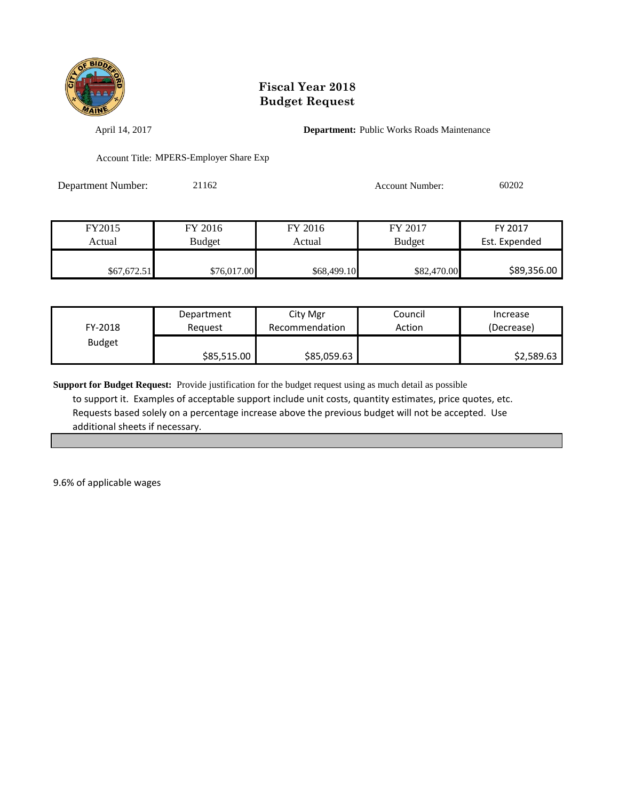

April 14, 2017 **Department:** Public Works Roads Maintenance

Account Title: MPERS-Employer Share Exp

Department Number: 21162 Account Number: 60202

| FY2015      | FY 2016     | FY 2016     | FY 2017       | FY 2017       |
|-------------|-------------|-------------|---------------|---------------|
| Actual      | Budget      | Actual      | <b>Budget</b> | Est. Expended |
|             |             |             |               |               |
| \$67,672.51 | \$76,017.00 | \$68,499.10 | \$82,470.00   | \$89,356.00   |

| FY-2018       | Department  | City Mgr       | Council | Increase   |
|---------------|-------------|----------------|---------|------------|
|               | Reauest     | Recommendation | Action  | (Decrease) |
| <b>Budget</b> | \$85,515.00 | \$85,059.63    |         | \$2,589.63 |

**Support for Budget Request:** Provide justification for the budget request using as much detail as possible to support it. Examples of acceptable support include unit costs, quantity estimates, price quotes, etc. Requests based solely on a percentage increase above the previous budget will not be accepted. Use additional sheets if necessary.

9.6% of applicable wages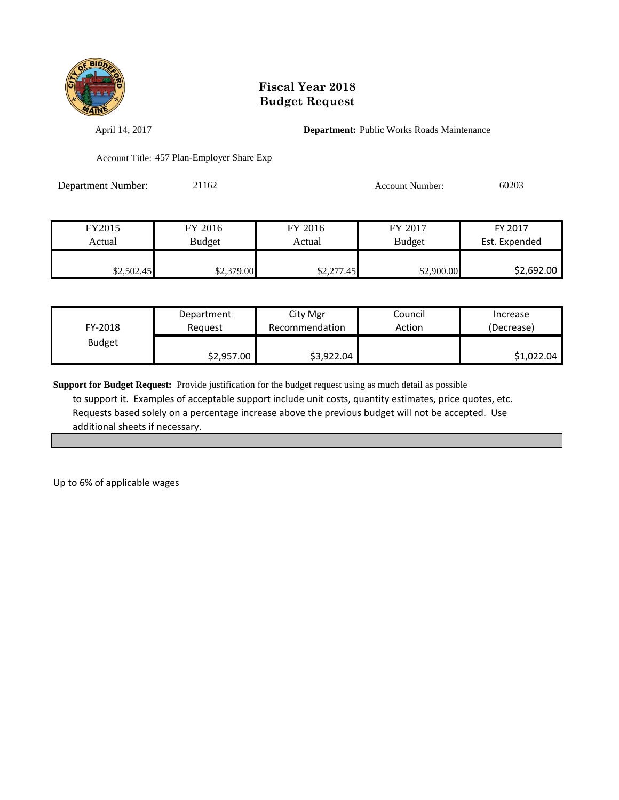

April 14, 2017 **Department:** Public Works Roads Maintenance

Account Title: 457 Plan-Employer Share Exp

Department Number: 21162 Account Number: 60203

| FY2015     | FY 2016       | FY 2016    | FY 2017       | FY 2017       |
|------------|---------------|------------|---------------|---------------|
| Actual     | <b>Budget</b> | Actual     | <b>Budget</b> | Est. Expended |
|            |               |            |               |               |
| \$2,502.45 | \$2,379.00    | \$2,277.45 | \$2,900.00    | \$2,692.00    |

| FY-2018       | Department | City Mgr       | Council | Increase   |
|---------------|------------|----------------|---------|------------|
|               | Reguest    | Recommendation | Action  | (Decrease) |
| <b>Budget</b> | \$2,957.00 | \$3,922.04     |         | \$1,022.04 |

**Support for Budget Request:** Provide justification for the budget request using as much detail as possible to support it. Examples of acceptable support include unit costs, quantity estimates, price quotes, etc. Requests based solely on a percentage increase above the previous budget will not be accepted. Use additional sheets if necessary.

Up to 6% of applicable wages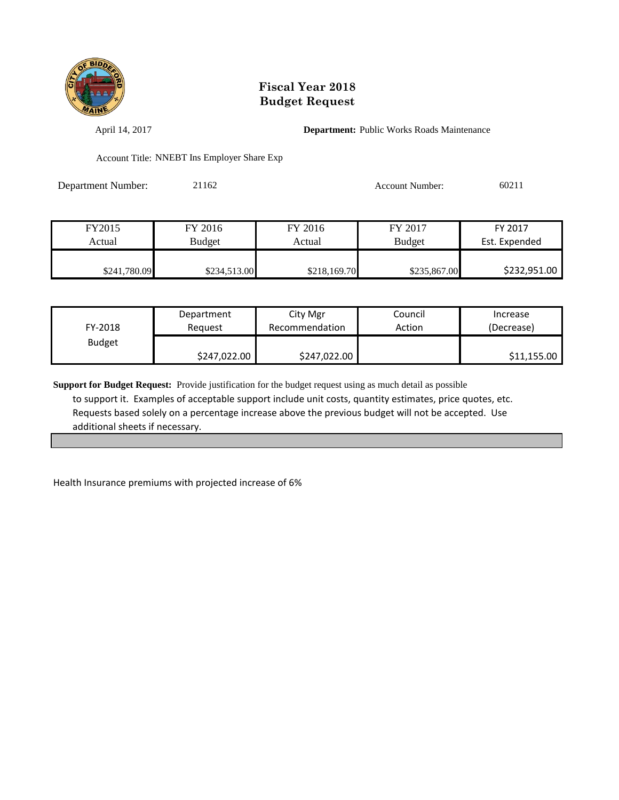

April 14, 2017 **Department:** Public Works Roads Maintenance

Account Title: NNEBT Ins Employer Share Exp

Department Number: 21162 Account Number: 60211

| FY2015       | FY 2016      | FY 2016      | FY 2017       | FY 2017       |
|--------------|--------------|--------------|---------------|---------------|
| Actual       | Budget       | Actual       | <b>Budget</b> | Est. Expended |
|              |              |              |               |               |
| \$241,780.09 | \$234,513.00 | \$218,169.70 | \$235,867.00  | \$232,951.00  |

| FY-2018       | Department   | City Mgr       | Council | Increase    |
|---------------|--------------|----------------|---------|-------------|
|               | Reauest      | Recommendation | Action  | (Decrease)  |
| <b>Budget</b> | \$247,022.00 | \$247,022.00   |         | \$11,155.00 |

**Support for Budget Request:** Provide justification for the budget request using as much detail as possible to support it. Examples of acceptable support include unit costs, quantity estimates, price quotes, etc. Requests based solely on a percentage increase above the previous budget will not be accepted. Use additional sheets if necessary.

Health Insurance premiums with projected increase of 6%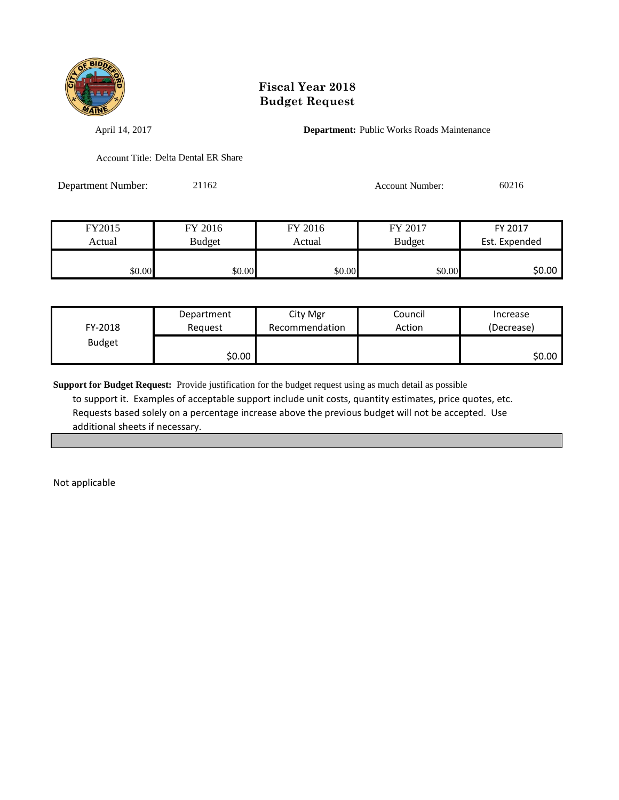

April 14, 2017 **Department:** Public Works Roads Maintenance

Account Title: Delta Dental ER Share

Department Number: 21162 Account Number: 60216

| FY2015 | FY 2016       | FY 2016 | FY 2017       | FY 2017       |
|--------|---------------|---------|---------------|---------------|
| Actual | <b>Budget</b> | Actual  | <b>Budget</b> | Est. Expended |
|        |               |         |               |               |
| \$0.00 | \$0.00        | \$0.00  | \$0.00        | \$0.00        |

| FY-2018       | Department | City Mgr       | Council | Increase   |
|---------------|------------|----------------|---------|------------|
|               | Reauest    | Recommendation | Action  | (Decrease) |
| <b>Budget</b> | \$0.00     |                |         | \$0.00     |

**Support for Budget Request:** Provide justification for the budget request using as much detail as possible to support it. Examples of acceptable support include unit costs, quantity estimates, price quotes, etc. Requests based solely on a percentage increase above the previous budget will not be accepted. Use additional sheets if necessary.

Not applicable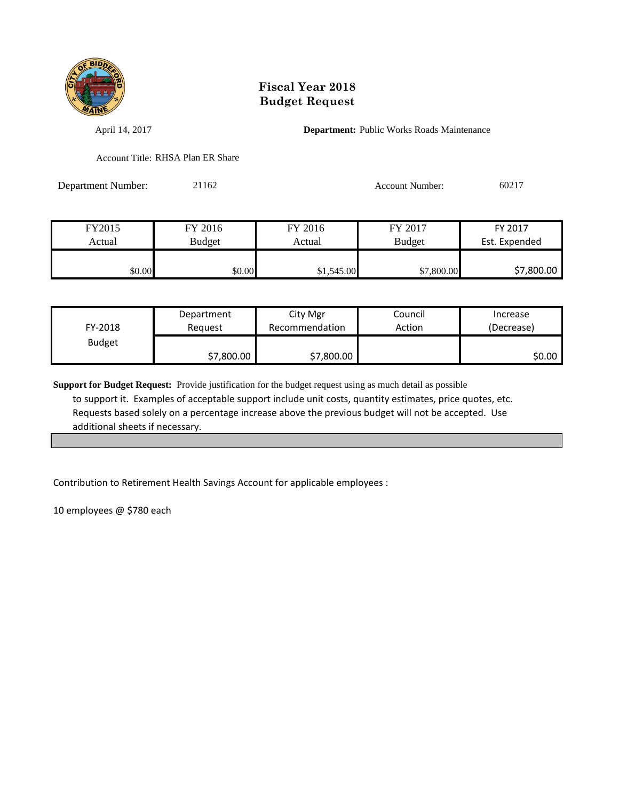

April 14, 2017 **Department:** Public Works Roads Maintenance

Account Title: RHSA Plan ER Share

Department Number: 21162 Account Number: 60217

| FY2015 | FY 2016 | FY 2016    | FY 2017       | FY 2017       |
|--------|---------|------------|---------------|---------------|
| Actual | Budget  | Actual     | <b>Budget</b> | Est. Expended |
|        |         |            |               |               |
| \$0.00 | \$0.00  | \$1,545.00 | \$7,800.00    | \$7,800.00    |

| FY-2018       | Department | City Mgr       | Council | Increase   |
|---------------|------------|----------------|---------|------------|
|               | Reguest    | Recommendation | Action  | (Decrease) |
| <b>Budget</b> | \$7,800.00 | \$7,800.00     |         | \$0.00     |

**Support for Budget Request:** Provide justification for the budget request using as much detail as possible to support it. Examples of acceptable support include unit costs, quantity estimates, price quotes, etc. Requests based solely on a percentage increase above the previous budget will not be accepted. Use additional sheets if necessary.

Contribution to Retirement Health Savings Account for applicable employees :

10 employees @ \$780 each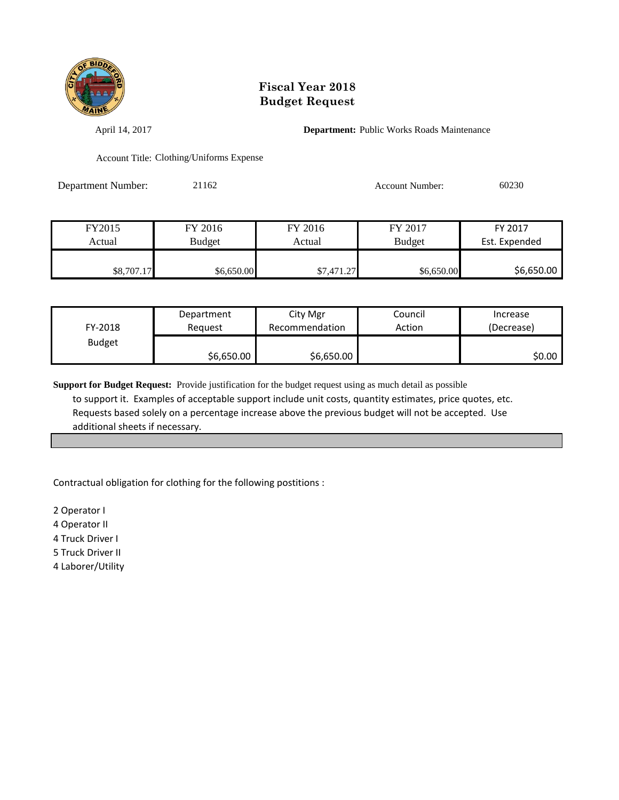

April 14, 2017 **Department:** Public Works Roads Maintenance

Account Title: Clothing/Uniforms Expense

Department Number: 21162 Account Number: 60230

| FY2015     | FY 2016    | FY 2016    | FY 2017       | FY 2017       |
|------------|------------|------------|---------------|---------------|
| Actual     | Budget     | Actual     | <b>Budget</b> | Est. Expended |
|            |            |            |               |               |
| \$8,707.17 | \$6,650.00 | \$7,471.27 | \$6,650.00    | \$6,650.00    |

| FY-2018       | Department | City Mgr       | Council | Increase   |
|---------------|------------|----------------|---------|------------|
|               | Reauest    | Recommendation | Action  | (Decrease) |
| <b>Budget</b> | \$6,650.00 | \$6,650.00     |         | SO.OO I    |

**Support for Budget Request:** Provide justification for the budget request using as much detail as possible to support it. Examples of acceptable support include unit costs, quantity estimates, price quotes, etc. Requests based solely on a percentage increase above the previous budget will not be accepted. Use additional sheets if necessary.

Contractual obligation for clothing for the following postitions :

2 Operator I

4 Operator II

4 Truck Driver I

5 Truck Driver II

4 Laborer/Utility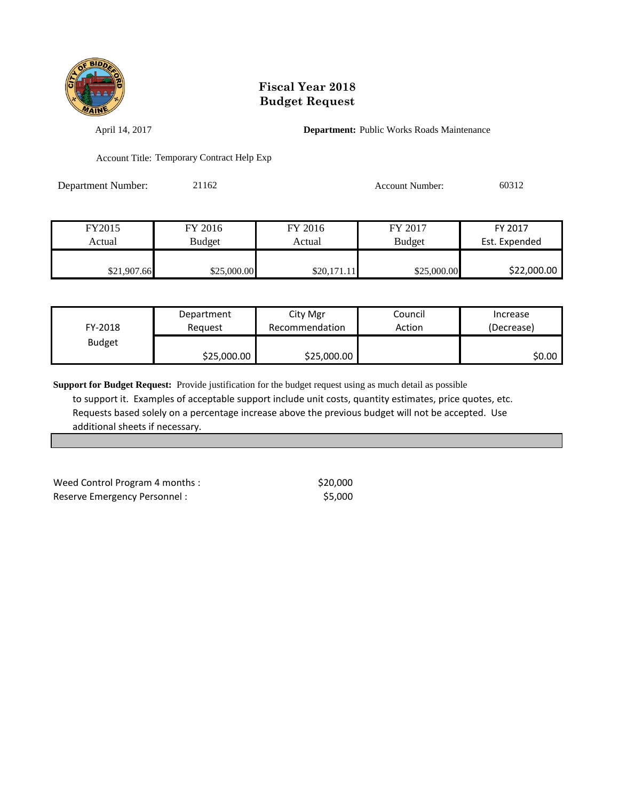

April 14, 2017 **Department:** Public Works Roads Maintenance

Account Title: Temporary Contract Help Exp

Department Number: 21162 Account Number: 60312

| FY2015      | FY 2016     | FY 2016     | FY 2017       | FY 2017       |
|-------------|-------------|-------------|---------------|---------------|
| Actual      | Budget      | Actual      | <b>Budget</b> | Est. Expended |
|             |             |             |               |               |
| \$21,907.66 | \$25,000.00 | \$20,171.11 | \$25,000.00   | \$22,000.00   |

| FY-2018       | Department  | City Mgr       | Council | Increase   |
|---------------|-------------|----------------|---------|------------|
|               | Reguest     | Recommendation | Action  | (Decrease) |
| <b>Budget</b> | \$25,000.00 | \$25,000.00    |         | \$0.00     |

**Support for Budget Request:** Provide justification for the budget request using as much detail as possible to support it. Examples of acceptable support include unit costs, quantity estimates, price quotes, etc. Requests based solely on a percentage increase above the previous budget will not be accepted. Use additional sheets if necessary.

Weed Control Program 4 months :  $$20,000$ Reserve Emergency Personnel :  $$5,000$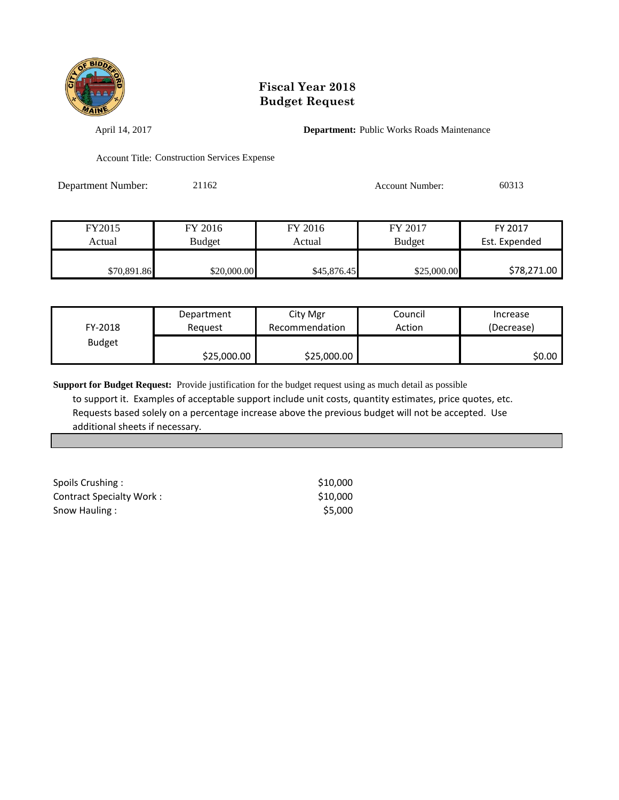

April 14, 2017 **Department:** Public Works Roads Maintenance

Account Title: Construction Services Expense

Department Number: 21162 Account Number: 60313

| FY2015      | FY 2016     | FY 2016     | FY 2017       | FY 2017       |
|-------------|-------------|-------------|---------------|---------------|
| Actual      | Budget      | Actual      | <b>Budget</b> | Est. Expended |
|             |             |             |               |               |
| \$70,891.86 | \$20,000.00 | \$45,876.45 | \$25,000.00   | \$78,271.00   |

| FY-2018       | Department  | City Mgr       | Council | Increase   |
|---------------|-------------|----------------|---------|------------|
|               | Reauest     | Recommendation | Action  | (Decrease) |
| <b>Budget</b> | \$25,000.00 | \$25,000.00    |         | \$0.00     |

| Spoils Crushing:         | \$10,000 |
|--------------------------|----------|
| Contract Specialty Work: | \$10,000 |
| Snow Hauling:            | \$5,000  |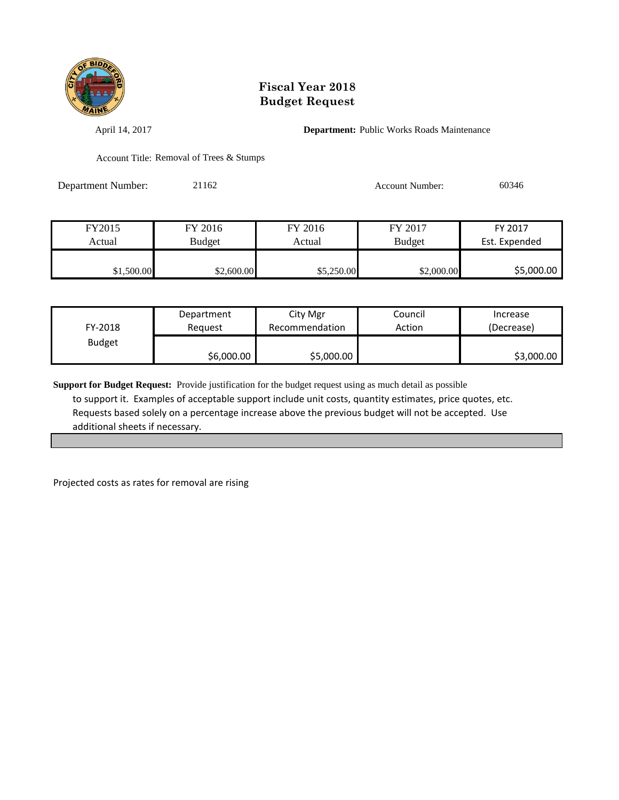

April 14, 2017 **Department:** Public Works Roads Maintenance

Account Title: Removal of Trees & Stumps

Department Number: 21162 Account Number: 60346

| FY2015     | FY 2016    | FY 2016    | FY 2017       | FY 2017       |
|------------|------------|------------|---------------|---------------|
| Actual     | Budget     | Actual     | <b>Budget</b> | Est. Expended |
|            |            |            |               |               |
| \$1,500.00 | \$2,600.00 | \$5,250.00 | \$2,000.00    | \$5,000.00    |

| FY-2018       | Department | City Mgr       | Council | Increase   |
|---------------|------------|----------------|---------|------------|
|               | Reauest    | Recommendation | Action  | (Decrease) |
| <b>Budget</b> | \$6,000.00 | \$5,000.00     |         | \$3,000.00 |

**Support for Budget Request:** Provide justification for the budget request using as much detail as possible to support it. Examples of acceptable support include unit costs, quantity estimates, price quotes, etc. Requests based solely on a percentage increase above the previous budget will not be accepted. Use additional sheets if necessary.

Projected costs as rates for removal are rising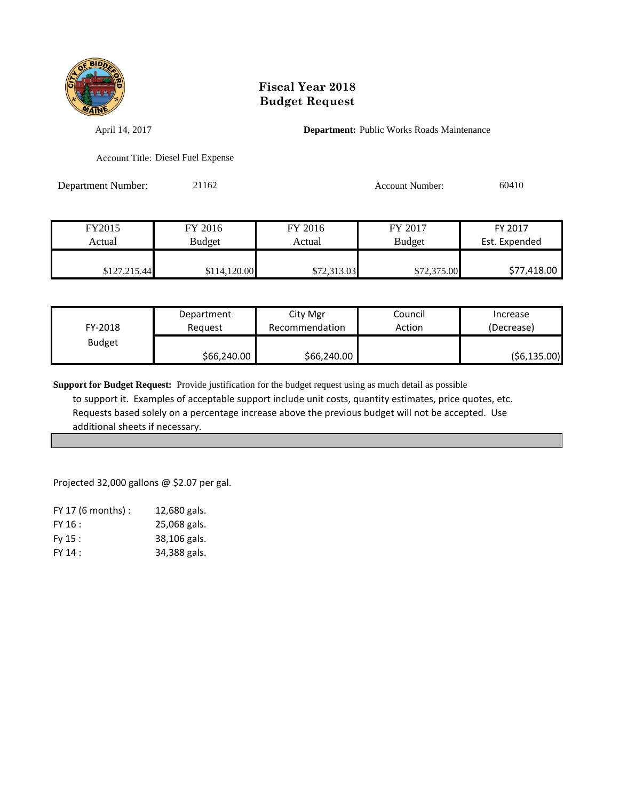

April 14, 2017 **Department:** Public Works Roads Maintenance

Account Title: Diesel Fuel Expense

Department Number: 21162 Account Number: 60410

| FY2015       | FY 2016       | FY 2016     | FY 2017       | FY 2017       |
|--------------|---------------|-------------|---------------|---------------|
| Actual       | <b>Budget</b> | Actual      | <b>Budget</b> | Est. Expended |
|              |               |             |               |               |
| \$127,215.44 | \$114,120.00  | \$72,313.03 | \$72,375.00   | \$77,418.00   |

| FY-2018       | Department  | City Mgr       | Council | Increase     |
|---------------|-------------|----------------|---------|--------------|
|               | Reauest     | Recommendation | Action  | (Decrease)   |
| <b>Budget</b> | \$66,240.00 | \$66,240.00    |         | (56, 135.00) |

**Support for Budget Request:** Provide justification for the budget request using as much detail as possible to support it. Examples of acceptable support include unit costs, quantity estimates, price quotes, etc. Requests based solely on a percentage increase above the previous budget will not be accepted. Use additional sheets if necessary.

Projected 32,000 gallons @ \$2.07 per gal.

| $FY$ 17 (6 months) : | 12,680 gals. |
|----------------------|--------------|
| FY 16:               | 25,068 gals. |
| Fy 15:               | 38,106 gals. |
| FY 14:               | 34,388 gals. |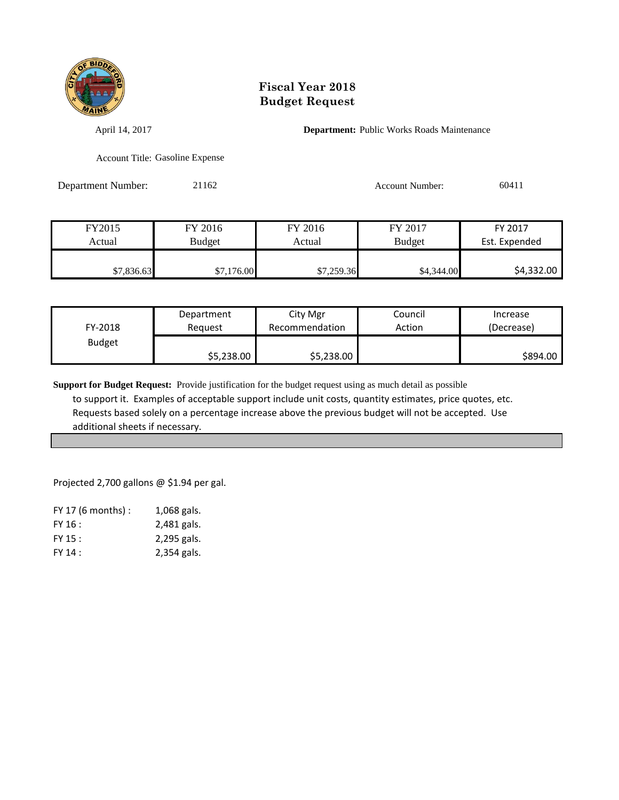

April 14, 2017 **Department:** Public Works Roads Maintenance

Account Title: Gasoline Expense

Department Number: 21162 Account Number: 60411

| FY2015     | FY 2016    | FY 2016    | FY 2017       | FY 2017       |
|------------|------------|------------|---------------|---------------|
| Actual     | Budget     | Actual     | <b>Budget</b> | Est. Expended |
|            |            |            |               |               |
| \$7,836.63 | \$7,176.00 | \$7,259.36 | \$4,344.00    | \$4,332.00    |

| FY-2018       | Department | City Mgr       | Council | Increase   |
|---------------|------------|----------------|---------|------------|
|               | Reguest    | Recommendation | Action  | (Decrease) |
| <b>Budget</b> | \$5,238.00 | \$5,238.00     |         | \$894.00   |

**Support for Budget Request:** Provide justification for the budget request using as much detail as possible to support it. Examples of acceptable support include unit costs, quantity estimates, price quotes, etc. Requests based solely on a percentage increase above the previous budget will not be accepted. Use additional sheets if necessary.

Projected 2,700 gallons @ \$1.94 per gal.

| $FY$ 17 (6 months) : | 1,068 gals. |
|----------------------|-------------|
| FY 16:               | 2,481 gals. |
| $FY$ 15 :            | 2,295 gals. |
| FY 14:               | 2,354 gals. |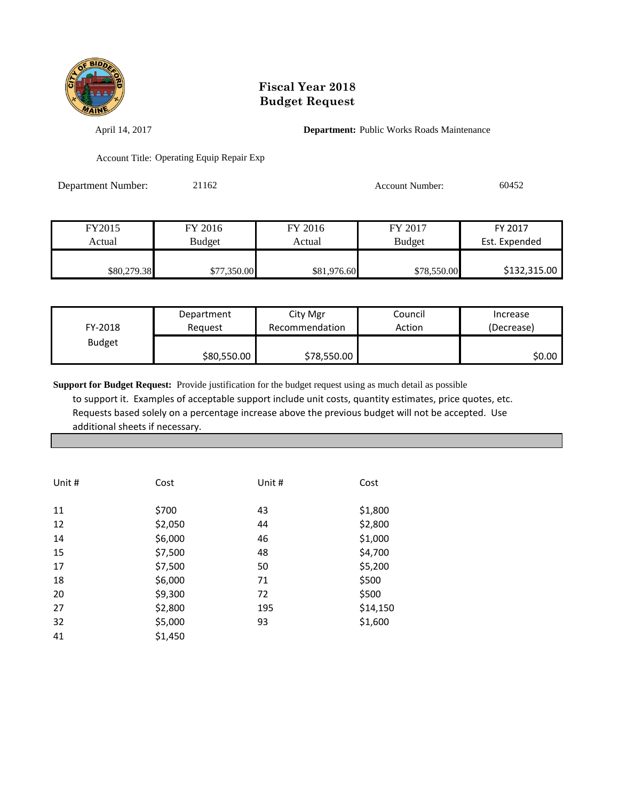

April 14, 2017 **Department:** Public Works Roads Maintenance

Account Title: Operating Equip Repair Exp

Department Number: 21162 Account Number: 60452

| FY2015      | FY 2016     | FY 2016     | FY 2017       | FY 2017       |
|-------------|-------------|-------------|---------------|---------------|
| Actual      | Budget      | Actual      | <b>Budget</b> | Est. Expended |
|             |             |             |               |               |
| \$80,279.38 | \$77,350.00 | \$81,976.60 | \$78,550.00   | \$132,315.00  |

| FY-2018       | Department  | City Mgr       | Council | Increase   |
|---------------|-------------|----------------|---------|------------|
|               | Reauest     | Recommendation | Action  | (Decrease) |
| <b>Budget</b> | \$80,550.00 | \$78,550.00    |         | \$0.00     |

| Unit # | Cost    | Unit # | Cost     |
|--------|---------|--------|----------|
| 11     | \$700   | 43     | \$1,800  |
| 12     | \$2,050 | 44     | \$2,800  |
| 14     | \$6,000 | 46     | \$1,000  |
| 15     | \$7,500 | 48     | \$4,700  |
| 17     | \$7,500 | 50     | \$5,200  |
| 18     | \$6,000 | 71     | \$500    |
| 20     | \$9,300 | 72     | \$500    |
| 27     | \$2,800 | 195    | \$14,150 |
| 32     | \$5,000 | 93     | \$1,600  |
| 41     | \$1,450 |        |          |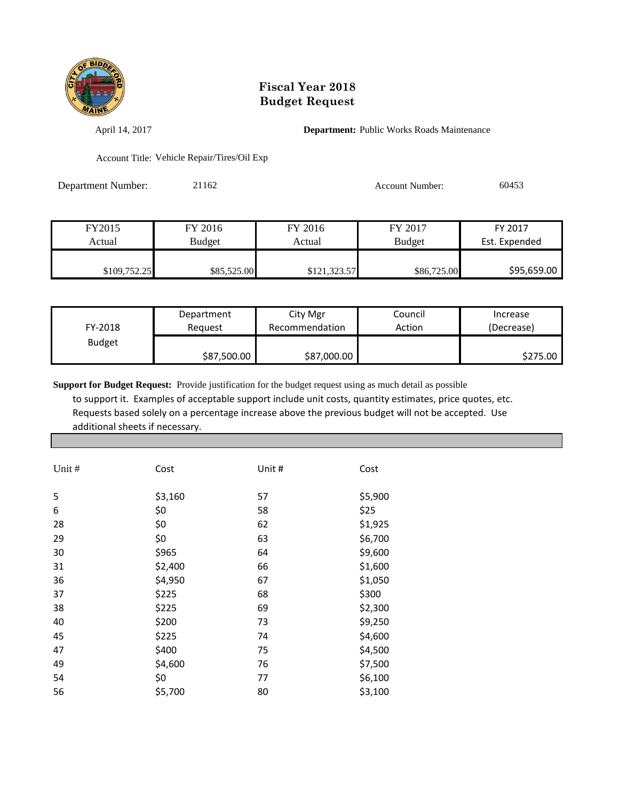

April 14, 2017 **Department:** Public Works Roads Maintenance

Account Title: Vehicle Repair/Tires/Oil Exp

Department Number: 21162 Account Number: 60453

| FY2015       | FY 2016     | FY 2016      | FY 2017       | FY 2017       |
|--------------|-------------|--------------|---------------|---------------|
| Actual       | Budget      | Actual       | <b>Budget</b> | Est. Expended |
| \$109,752.25 | \$85,525.00 | \$121,323.57 | \$86,725.00   | \$95,659.00   |

| FY-2018       | Department  | City Mgr       | Council | Increase   |
|---------------|-------------|----------------|---------|------------|
|               | Reauest     | Recommendation | Action  | (Decrease) |
| <b>Budget</b> | \$87,500.00 | \$87,000.00    |         | \$275.00   |

| Unit # | Cost    | Unit # | Cost    |
|--------|---------|--------|---------|
| 5      | \$3,160 | 57     | \$5,900 |
| 6      | \$0     | 58     | \$25    |
| 28     | \$0     | 62     | \$1,925 |
| 29     | \$0     | 63     | \$6,700 |
| 30     | \$965   | 64     | \$9,600 |
| 31     | \$2,400 | 66     | \$1,600 |
| 36     | \$4,950 | 67     | \$1,050 |
| 37     | \$225   | 68     | \$300   |
| 38     | \$225   | 69     | \$2,300 |
| 40     | \$200   | 73     | \$9,250 |
| 45     | \$225   | 74     | \$4,600 |
| 47     | \$400   | 75     | \$4,500 |
| 49     | \$4,600 | 76     | \$7,500 |
| 54     | \$0     | 77     | \$6,100 |
| 56     | \$5,700 | 80     | \$3,100 |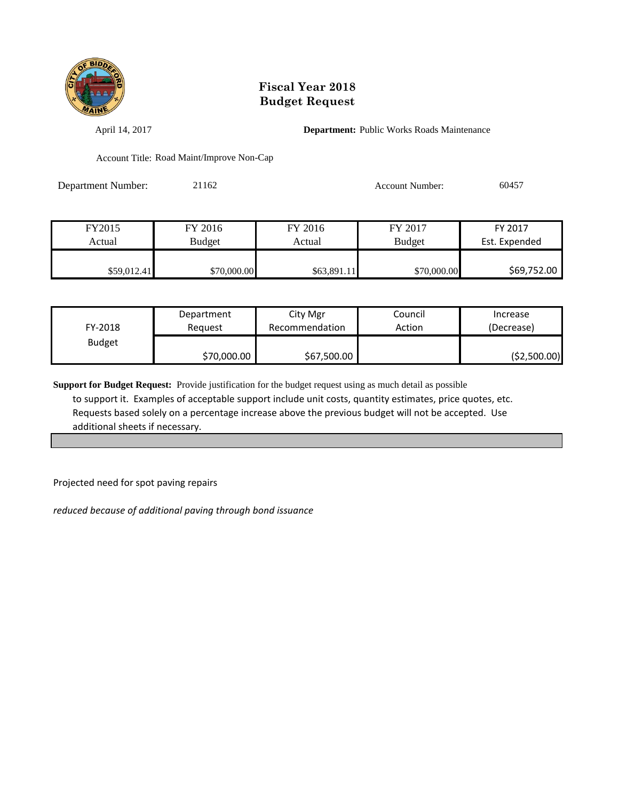

April 14, 2017 **Department:** Public Works Roads Maintenance

Account Title: Road Maint/Improve Non-Cap

Department Number: 21162 Account Number: 60457

| FY2015      | FY 2016     | FY 2016     | FY 2017       | FY 2017       |
|-------------|-------------|-------------|---------------|---------------|
| Actual      | Budget      | Actual      | <b>Budget</b> | Est. Expended |
|             |             |             |               |               |
| \$59,012.41 | \$70,000.00 | \$63,891.11 | \$70,000.00   | \$69,752.00   |

| FY-2018       | Department  | City Mgr       | Council | Increase    |
|---------------|-------------|----------------|---------|-------------|
|               | Reauest     | Recommendation | Action  | (Decrease)  |
| <b>Budget</b> | \$70,000.00 | \$67,500.00    |         | (52,500.00) |

**Support for Budget Request:** Provide justification for the budget request using as much detail as possible to support it. Examples of acceptable support include unit costs, quantity estimates, price quotes, etc. Requests based solely on a percentage increase above the previous budget will not be accepted. Use additional sheets if necessary.

Projected need for spot paving repairs

*reduced because of additional paving through bond issuance*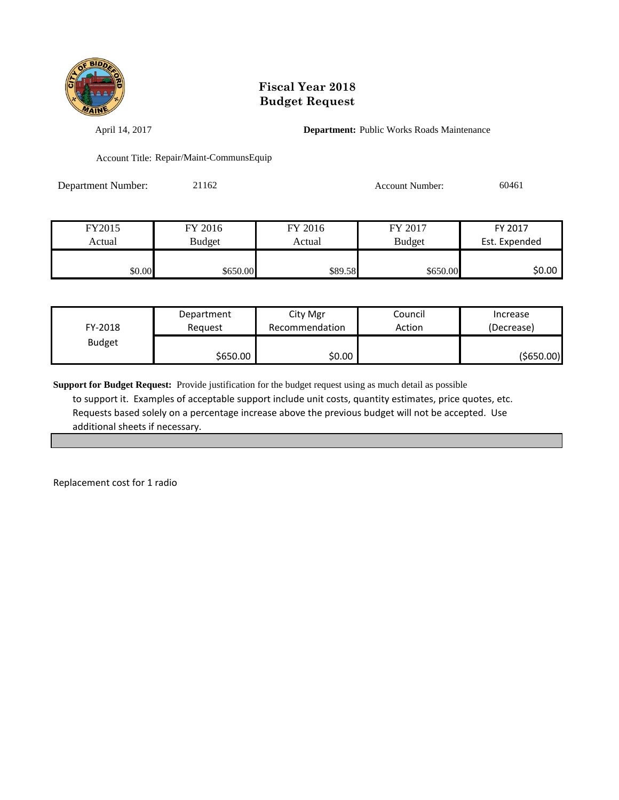

April 14, 2017 **Department:** Public Works Roads Maintenance

Account Title: Repair/Maint-CommunsEquip

Department Number: 21162 Account Number: 60461

| FY2015 | FY 2016       | FY 2016 | FY 2017       | FY 2017       |
|--------|---------------|---------|---------------|---------------|
| Actual | <b>Budget</b> | Actual  | <b>Budget</b> | Est. Expended |
|        |               |         |               |               |
| \$0.00 | \$650.00      | \$89.58 | \$650.00      | \$0.00        |

| FY-2018       | Department | City Mgr       | Council | Increase   |
|---------------|------------|----------------|---------|------------|
|               | Reauest    | Recommendation | Action  | (Decrease) |
| <b>Budget</b> | \$650.00 l | \$0.00         |         | (\$650.00) |

**Support for Budget Request:** Provide justification for the budget request using as much detail as possible to support it. Examples of acceptable support include unit costs, quantity estimates, price quotes, etc. Requests based solely on a percentage increase above the previous budget will not be accepted. Use additional sheets if necessary.

Replacement cost for 1 radio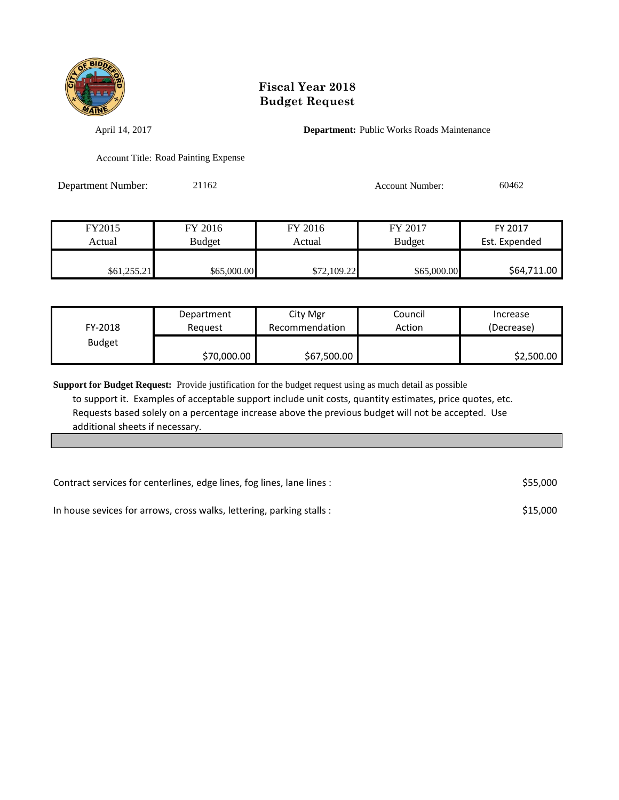

April 14, 2017 **Department:** Public Works Roads Maintenance

Account Title: Road Painting Expense

Department Number: 21162 Account Number: 60462

| FY2015      | FY 2016       | FY 2016     | FY 2017       | FY 2017       |
|-------------|---------------|-------------|---------------|---------------|
| Actual      | <b>Budget</b> | Actual      | <b>Budget</b> | Est. Expended |
|             |               |             |               |               |
| \$61,255.21 | \$65,000.00   | \$72,109.22 | \$65,000.00   | \$64,711.00   |

| FY-2018       | Department  | City Mgr       | Council | Increase   |
|---------------|-------------|----------------|---------|------------|
|               | Reauest     | Recommendation | Action  | (Decrease) |
| <b>Budget</b> | \$70,000.00 | \$67,500.00    |         | \$2,500.00 |

| Contract services for centerlines, edge lines, fog lines, lane lines : |          |  |
|------------------------------------------------------------------------|----------|--|
| In house sevices for arrows, cross walks, lettering, parking stalls :  | \$15,000 |  |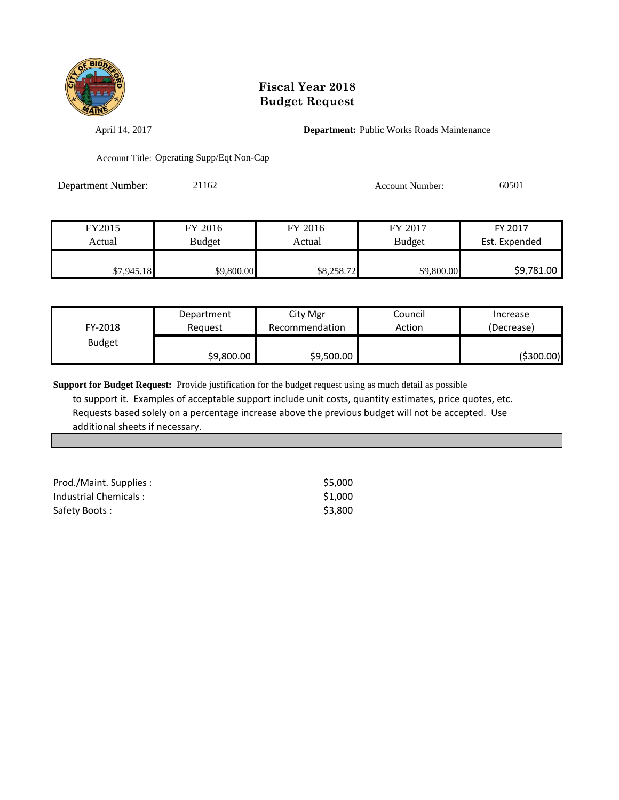

April 14, 2017 **Department:** Public Works Roads Maintenance

Account Title: Operating Supp/Eqt Non-Cap

Department Number: 21162 Account Number: 60501

| FY2015     | FY 2016    | FY 2016    | FY 2017       | FY 2017       |
|------------|------------|------------|---------------|---------------|
| Actual     | Budget     | Actual     | <b>Budget</b> | Est. Expended |
|            |            |            |               |               |
| \$7,945.18 | \$9,800.00 | \$8,258.72 | \$9,800.00    | \$9,781.00    |

| FY-2018       | Department | City Mgr       | Council | Increase   |
|---------------|------------|----------------|---------|------------|
|               | Reauest    | Recommendation | Action  | (Decrease) |
| <b>Budget</b> | \$9,800.00 | \$9,500.00     |         | (\$300.00) |

| Prod./Maint. Supplies : | \$5.000 |
|-------------------------|---------|
| Industrial Chemicals:   | \$1.000 |
| Safety Boots:           | \$3.800 |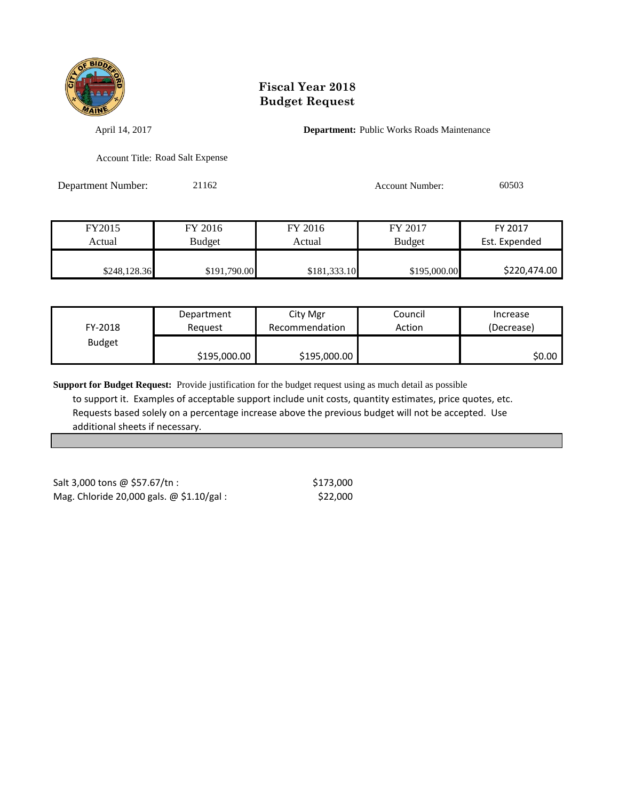

April 14, 2017 **Department:** Public Works Roads Maintenance

Account Title: Road Salt Expense

Department Number: 21162 Account Number: 60503

| FY2015       | FY 2016      | FY 2016      | FY 2017       | FY 2017       |
|--------------|--------------|--------------|---------------|---------------|
| Actual       | Budget       | Actual       | <b>Budget</b> | Est. Expended |
|              |              |              |               |               |
| \$248,128.36 | \$191,790.00 | \$181,333.10 | \$195,000.00  | \$220,474.00  |

| FY-2018       | Department   | City Mgr       | Council | Increase   |
|---------------|--------------|----------------|---------|------------|
|               | Reauest      | Recommendation | Action  | (Decrease) |
| <b>Budget</b> | \$195,000.00 | \$195,000.00   |         | \$0.00     |

**Support for Budget Request:** Provide justification for the budget request using as much detail as possible to support it. Examples of acceptable support include unit costs, quantity estimates, price quotes, etc. Requests based solely on a percentage increase above the previous budget will not be accepted. Use additional sheets if necessary.

 $Salt 3,000$  tons  $@$57.67/tn$ : \$173,000 Mag. Chloride 20,000 gals. @ \$1.10/gal : \$22,000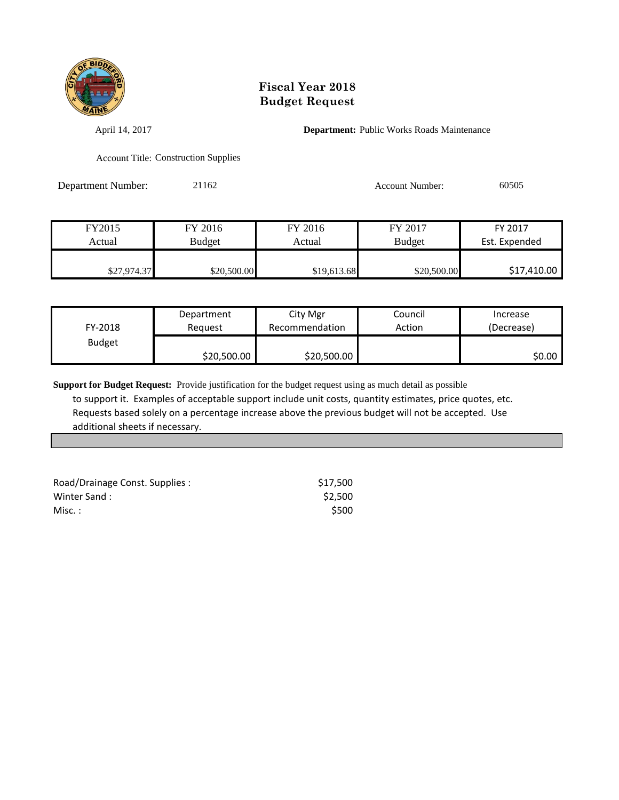

April 14, 2017 **Department:** Public Works Roads Maintenance

Account Title: Construction Supplies

Department Number: 21162 Account Number: 60505

| FY2015      | FY 2016       | FY 2016     | FY 2017       | FY 2017       |
|-------------|---------------|-------------|---------------|---------------|
| Actual      | <b>Budget</b> | Actual      | <b>Budget</b> | Est. Expended |
|             |               |             |               |               |
| \$27,974.37 | \$20,500.00   | \$19,613.68 | \$20,500.00   | \$17,410.00   |

| FY-2018       | Department  | City Mgr       | Council | Increase   |
|---------------|-------------|----------------|---------|------------|
|               | Reauest     | Recommendation | Action  | (Decrease) |
| <b>Budget</b> | \$20,500.00 | \$20,500.00    |         | SO.OO I    |

| Road/Drainage Const. Supplies: | \$17.500 |
|--------------------------------|----------|
| Winter Sand:                   | \$2.500  |
| Misc. :                        | \$500    |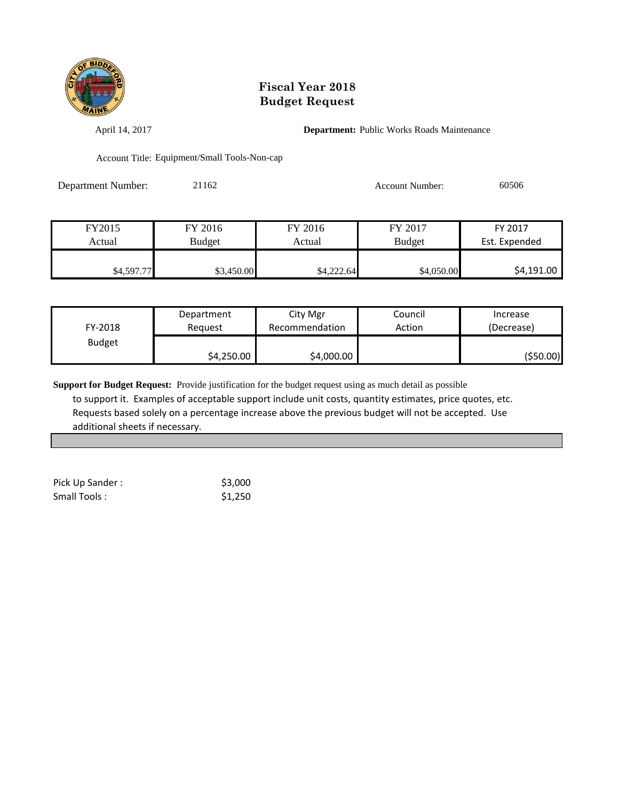

April 14, 2017 **Department:** Public Works Roads Maintenance

Account Title: Equipment/Small Tools-Non-cap

Department Number: 21162 Account Number: 60506

| FY2015     | FY 2016       | FY 2016    | FY 2017       | FY 2017       |
|------------|---------------|------------|---------------|---------------|
| Actual     | <b>Budget</b> | Actual     | <b>Budget</b> | Est. Expended |
|            |               |            |               |               |
| \$4,597.77 | \$3,450.00    | \$4,222.64 | \$4,050.00    | \$4,191.00    |

| FY-2018       | Department | City Mgr       | Council | Increase   |
|---------------|------------|----------------|---------|------------|
|               | Reauest    | Recommendation | Action  | (Decrease) |
| <b>Budget</b> | \$4,250.00 | \$4,000.00     |         | (\$50.00)  |

| Pick Up Sander: | \$3,000 |
|-----------------|---------|
| Small Tools:    | \$1,250 |